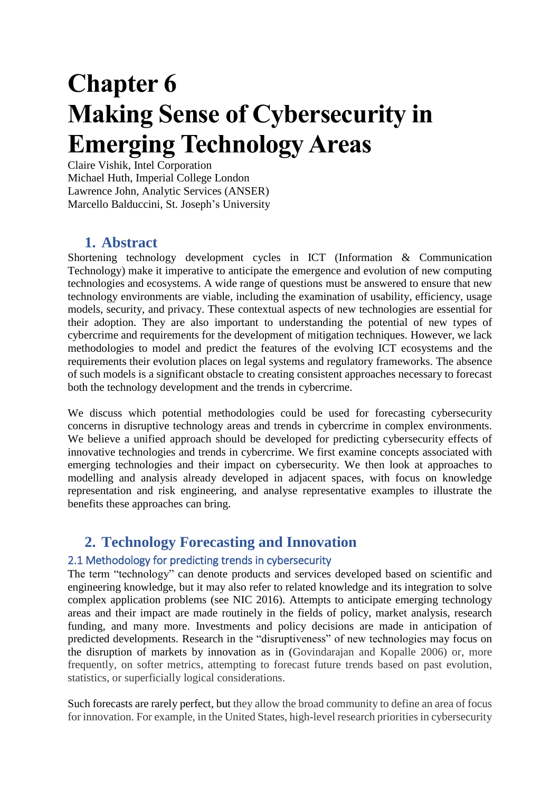# **Chapter 6 Making Sense of Cybersecurity in Emerging Technology Areas**

Claire Vishik, Intel Corporation Michael Huth, Imperial College London Lawrence John, Analytic Services (ANSER) Marcello Balduccini, St. Joseph's University

# **1. Abstract**

Shortening technology development cycles in ICT (Information & Communication Technology) make it imperative to anticipate the emergence and evolution of new computing technologies and ecosystems. A wide range of questions must be answered to ensure that new technology environments are viable, including the examination of usability, efficiency, usage models, security, and privacy. These contextual aspects of new technologies are essential for their adoption. They are also important to understanding the potential of new types of cybercrime and requirements for the development of mitigation techniques. However, we lack methodologies to model and predict the features of the evolving ICT ecosystems and the requirements their evolution places on legal systems and regulatory frameworks. The absence of such models is a significant obstacle to creating consistent approaches necessary to forecast both the technology development and the trends in cybercrime.

We discuss which potential methodologies could be used for forecasting cybersecurity concerns in disruptive technology areas and trends in cybercrime in complex environments. We believe a unified approach should be developed for predicting cybersecurity effects of innovative technologies and trends in cybercrime. We first examine concepts associated with emerging technologies and their impact on cybersecurity. We then look at approaches to modelling and analysis already developed in adjacent spaces, with focus on knowledge representation and risk engineering, and analyse representative examples to illustrate the benefits these approaches can bring.

# **2. Technology Forecasting and Innovation**

## 2.1 Methodology for predicting trends in cybersecurity

The term "technology" can denote products and services developed based on scientific and engineering knowledge, but it may also refer to related knowledge and its integration to solve complex application problems (see NIC 2016). Attempts to anticipate emerging technology areas and their impact are made routinely in the fields of policy, market analysis, research funding, and many more. Investments and policy decisions are made in anticipation of predicted developments. Research in the "disruptiveness" of new technologies may focus on the disruption of markets by innovation as in (Govindarajan and Kopalle 2006) or, more frequently, on softer metrics, attempting to forecast future trends based on past evolution, statistics, or superficially logical considerations.

Such forecasts are rarely perfect, but they allow the broad community to define an area of focus for innovation. For example, in the United States, high-level research priorities in cybersecurity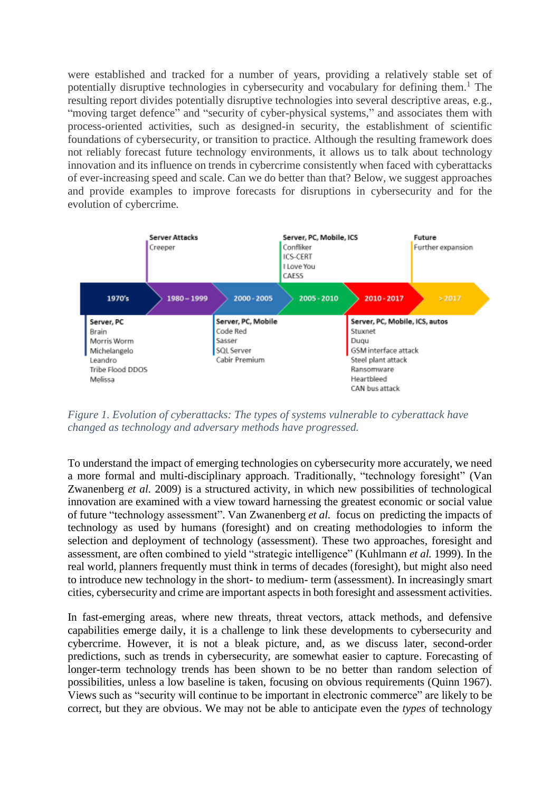were established and tracked for a number of years, providing a relatively stable set of potentially disruptive technologies in cybersecurity and vocabulary for defining them.<sup>1</sup> The resulting report divides potentially disruptive technologies into several descriptive areas, e.g., "moving target defence" and "security of cyber-physical systems," and associates them with process-oriented activities, such as designed-in security, the establishment of scientific foundations of cybersecurity, or transition to practice. Although the resulting framework does not reliably forecast future technology environments, it allows us to talk about technology innovation and its influence on trends in cybercrime consistently when faced with cyberattacks of ever-increasing speed and scale. Can we do better than that? Below, we suggest approaches and provide examples to improve forecasts for disruptions in cybersecurity and for the evolution of cybercrime.



*Figure 1. Evolution of cyberattacks: The types of systems vulnerable to cyberattack have changed as technology and adversary methods have progressed.*

To understand the impact of emerging technologies on cybersecurity more accurately, we need a more formal and multi-disciplinary approach. Traditionally, "technology foresight" (Van Zwanenberg *et al.* 2009) is a structured activity, in which new possibilities of technological innovation are examined with a view toward harnessing the greatest economic or social value of future "technology assessment". Van Zwanenberg *et al.* focus on predicting the impacts of technology as used by humans (foresight) and on creating methodologies to inform the selection and deployment of technology (assessment). These two approaches, foresight and assessment, are often combined to yield "strategic intelligence" (Kuhlmann *et al.* 1999). In the real world, planners frequently must think in terms of decades (foresight), but might also need to introduce new technology in the short- to medium- term (assessment). In increasingly smart cities, cybersecurity and crime are important aspectsin both foresight and assessment activities.

In fast-emerging areas, where new threats, threat vectors, attack methods, and defensive capabilities emerge daily, it is a challenge to link these developments to cybersecurity and cybercrime. However, it is not a bleak picture, and, as we discuss later, second-order predictions, such as trends in cybersecurity, are somewhat easier to capture. Forecasting of longer-term technology trends has been shown to be no better than random selection of possibilities, unless a low baseline is taken, focusing on obvious requirements (Quinn 1967). Views such as "security will continue to be important in electronic commerce" are likely to be correct, but they are obvious. We may not be able to anticipate even the *types* of technology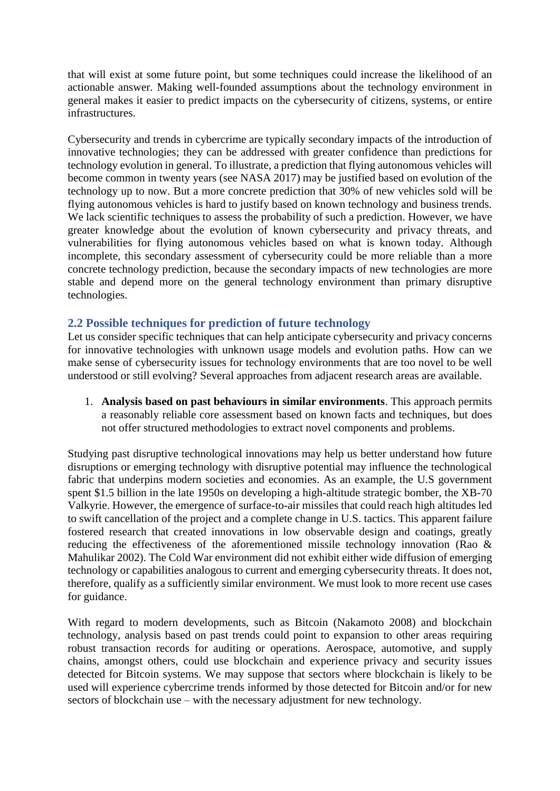that will exist at some future point, but some techniques could increase the likelihood of an actionable answer. Making well-founded assumptions about the technology environment in general makes it easier to predict impacts on the cybersecurity of citizens, systems, or entire infrastructures.

Cybersecurity and trends in cybercrime are typically secondary impacts of the introduction of innovative technologies; they can be addressed with greater confidence than predictions for technology evolution in general. To illustrate, a prediction that flying autonomous vehicles will become common in twenty years (see NASA 2017) may be justified based on evolution of the technology up to now. But a more concrete prediction that 30% of new vehicles sold will be flying autonomous vehicles is hard to justify based on known technology and business trends. We lack scientific techniques to assess the probability of such a prediction. However, we have greater knowledge about the evolution of known cybersecurity and privacy threats, and vulnerabilities for flying autonomous vehicles based on what is known today. Although incomplete, this secondary assessment of cybersecurity could be more reliable than a more concrete technology prediction, because the secondary impacts of new technologies are more stable and depend more on the general technology environment than primary disruptive technologies.

#### **2.2 Possible techniques for prediction of future technology**

Let us consider specific techniques that can help anticipate cybersecurity and privacy concerns for innovative technologies with unknown usage models and evolution paths. How can we make sense of cybersecurity issues for technology environments that are too novel to be well understood or still evolving? Several approaches from adjacent research areas are available.

1. **Analysis based on past behaviours in similar environments**. This approach permits a reasonably reliable core assessment based on known facts and techniques, but does not offer structured methodologies to extract novel components and problems.

Studying past disruptive technological innovations may help us better understand how future disruptions or emerging technology with disruptive potential may influence the technological fabric that underpins modern societies and economies. As an example, the U.S government spent \$1.5 billion in the late 1950s on developing a high-altitude strategic bomber, the XB-70 Valkyrie. However, the emergence of surface-to-air missiles that could reach high altitudes led to swift cancellation of the project and a complete change in U.S. tactics. This apparent failure fostered research that created innovations in low observable design and coatings, greatly reducing the effectiveness of the aforementioned missile technology innovation (Rao & Mahulikar 2002). The Cold War environment did not exhibit either wide diffusion of emerging technology or capabilities analogous to current and emerging cybersecurity threats. It does not, therefore, qualify as a sufficiently similar environment. We must look to more recent use cases for guidance.

With regard to modern developments, such as Bitcoin (Nakamoto 2008) and blockchain technology, analysis based on past trends could point to expansion to other areas requiring robust transaction records for auditing or operations. Aerospace, automotive, and supply chains, amongst others, could use blockchain and experience privacy and security issues detected for Bitcoin systems. We may suppose that sectors where blockchain is likely to be used will experience cybercrime trends informed by those detected for Bitcoin and/or for new sectors of blockchain use – with the necessary adjustment for new technology.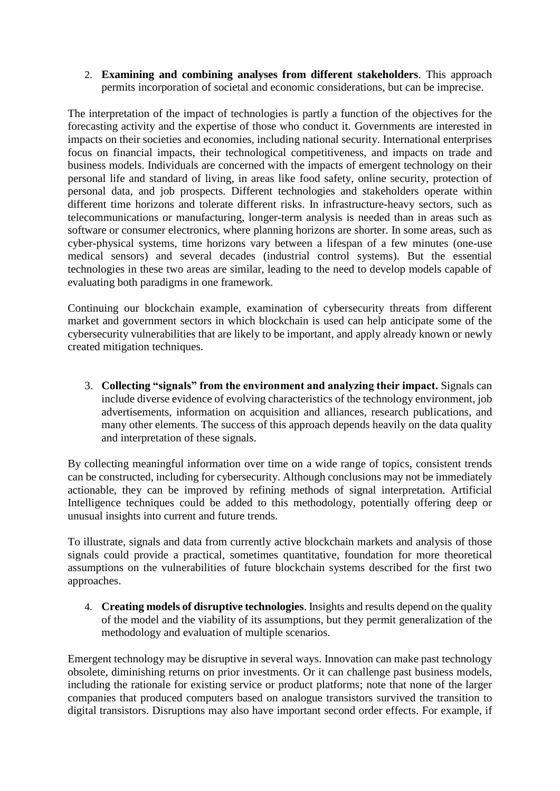2. **Examining and combining analyses from different stakeholders**. This approach permits incorporation of societal and economic considerations, but can be imprecise.

The interpretation of the impact of technologies is partly a function of the objectives for the forecasting activity and the expertise of those who conduct it. Governments are interested in impacts on their societies and economies, including national security. International enterprises focus on financial impacts, their technological competitiveness, and impacts on trade and business models. Individuals are concerned with the impacts of emergent technology on their personal life and standard of living, in areas like food safety, online security, protection of personal data, and job prospects. Different technologies and stakeholders operate within different time horizons and tolerate different risks. In infrastructure-heavy sectors, such as telecommunications or manufacturing, longer-term analysis is needed than in areas such as software or consumer electronics, where planning horizons are shorter. In some areas, such as cyber-physical systems, time horizons vary between a lifespan of a few minutes (one-use medical sensors) and several decades (industrial control systems). But the essential technologies in these two areas are similar, leading to the need to develop models capable of evaluating both paradigms in one framework.

Continuing our blockchain example, examination of cybersecurity threats from different market and government sectors in which blockchain is used can help anticipate some of the cybersecurity vulnerabilities that are likely to be important, and apply already known or newly created mitigation techniques.

3. **Collecting "signals" from the environment and analyzing their impact.** Signals can include diverse evidence of evolving characteristics of the technology environment, job advertisements, information on acquisition and alliances, research publications, and many other elements. The success of this approach depends heavily on the data quality and interpretation of these signals.

By collecting meaningful information over time on a wide range of topics, consistent trends can be constructed, including for cybersecurity. Although conclusions may not be immediately actionable, they can be improved by refining methods of signal interpretation. Artificial Intelligence techniques could be added to this methodology, potentially offering deep or unusual insights into current and future trends.

To illustrate, signals and data from currently active blockchain markets and analysis of those signals could provide a practical, sometimes quantitative, foundation for more theoretical assumptions on the vulnerabilities of future blockchain systems described for the first two approaches.

4. **Creating models of disruptive technologies**. Insights and results depend on the quality of the model and the viability of its assumptions, but they permit generalization of the methodology and evaluation of multiple scenarios.

Emergent technology may be disruptive in several ways. Innovation can make past technology obsolete, diminishing returns on prior investments. Or it can challenge past business models, including the rationale for existing service or product platforms; note that none of the larger companies that produced computers based on analogue transistors survived the transition to digital transistors. Disruptions may also have important second order effects. For example, if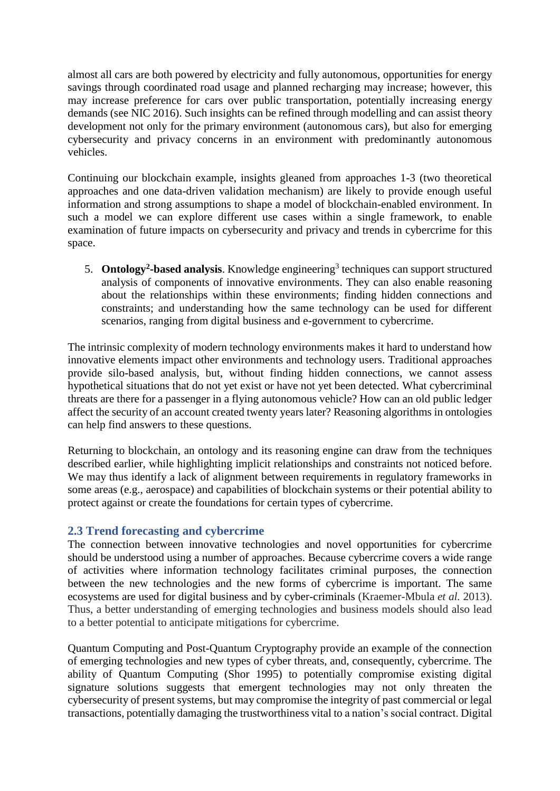almost all cars are both powered by electricity and fully autonomous, opportunities for energy savings through coordinated road usage and planned recharging may increase; however, this may increase preference for cars over public transportation, potentially increasing energy demands (see NIC 2016). Such insights can be refined through modelling and can assist theory development not only for the primary environment (autonomous cars), but also for emerging cybersecurity and privacy concerns in an environment with predominantly autonomous vehicles.

Continuing our blockchain example, insights gleaned from approaches 1-3 (two theoretical approaches and one data-driven validation mechanism) are likely to provide enough useful information and strong assumptions to shape a model of blockchain-enabled environment. In such a model we can explore different use cases within a single framework, to enable examination of future impacts on cybersecurity and privacy and trends in cybercrime for this space.

5. **Ontology<sup>2</sup>-based analysis**. Knowledge engineering<sup>3</sup> techniques can support structured analysis of components of innovative environments. They can also enable reasoning about the relationships within these environments; finding hidden connections and constraints; and understanding how the same technology can be used for different scenarios, ranging from digital business and e-government to cybercrime.

The intrinsic complexity of modern technology environments makes it hard to understand how innovative elements impact other environments and technology users. Traditional approaches provide silo-based analysis, but, without finding hidden connections, we cannot assess hypothetical situations that do not yet exist or have not yet been detected. What cybercriminal threats are there for a passenger in a flying autonomous vehicle? How can an old public ledger affect the security of an account created twenty years later? Reasoning algorithms in ontologies can help find answers to these questions.

Returning to blockchain, an ontology and its reasoning engine can draw from the techniques described earlier, while highlighting implicit relationships and constraints not noticed before. We may thus identify a lack of alignment between requirements in regulatory frameworks in some areas (e.g., aerospace) and capabilities of blockchain systems or their potential ability to protect against or create the foundations for certain types of cybercrime.

#### **2.3 Trend forecasting and cybercrime**

The connection between innovative technologies and novel opportunities for cybercrime should be understood using a number of approaches. Because cybercrime covers a wide range of activities where information technology facilitates criminal purposes, the connection between the new technologies and the new forms of cybercrime is important. The same ecosystems are used for digital business and by cyber-criminals (Kraemer-Mbula *et al.* 2013). Thus, a better understanding of emerging technologies and business models should also lead to a better potential to anticipate mitigations for cybercrime.

Quantum Computing and Post-Quantum Cryptography provide an example of the connection of emerging technologies and new types of cyber threats, and, consequently, cybercrime. The ability of Quantum Computing (Shor 1995) to potentially compromise existing digital signature solutions suggests that emergent technologies may not only threaten the cybersecurity of present systems, but may compromise the integrity of past commercial or legal transactions, potentially damaging the trustworthiness vital to a nation's social contract. Digital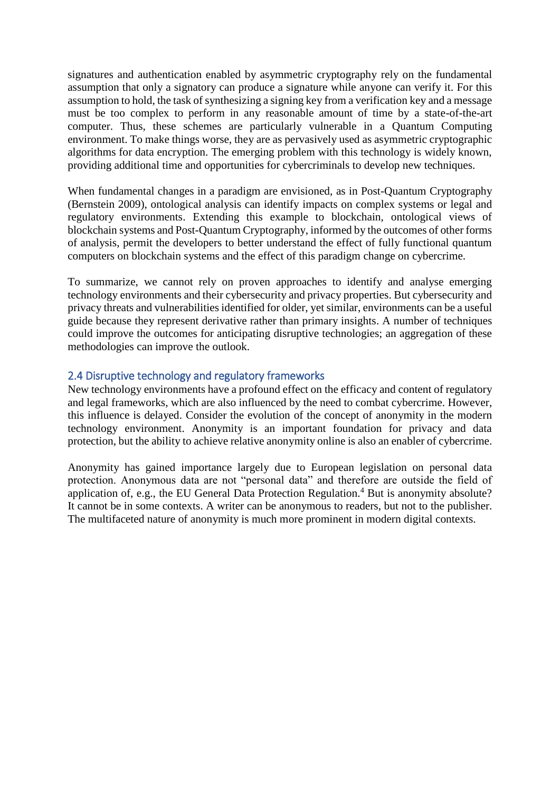signatures and authentication enabled by asymmetric cryptography rely on the fundamental assumption that only a signatory can produce a signature while anyone can verify it. For this assumption to hold, the task of synthesizing a signing key from a verification key and a message must be too complex to perform in any reasonable amount of time by a state-of-the-art computer. Thus, these schemes are particularly vulnerable in a Quantum Computing environment. To make things worse, they are as pervasively used as asymmetric cryptographic algorithms for data encryption. The emerging problem with this technology is widely known, providing additional time and opportunities for cybercriminals to develop new techniques.

When fundamental changes in a paradigm are envisioned, as in Post-Quantum Cryptography (Bernstein 2009), ontological analysis can identify impacts on complex systems or legal and regulatory environments. Extending this example to blockchain, ontological views of blockchain systems and Post-Quantum Cryptography, informed by the outcomes of other forms of analysis, permit the developers to better understand the effect of fully functional quantum computers on blockchain systems and the effect of this paradigm change on cybercrime.

To summarize, we cannot rely on proven approaches to identify and analyse emerging technology environments and their cybersecurity and privacy properties. But cybersecurity and privacy threats and vulnerabilities identified for older, yet similar, environments can be a useful guide because they represent derivative rather than primary insights. A number of techniques could improve the outcomes for anticipating disruptive technologies; an aggregation of these methodologies can improve the outlook.

#### 2.4 Disruptive technology and regulatory frameworks

New technology environments have a profound effect on the efficacy and content of regulatory and legal frameworks, which are also influenced by the need to combat cybercrime. However, this influence is delayed. Consider the evolution of the concept of anonymity in the modern technology environment. Anonymity is an important foundation for privacy and data protection, but the ability to achieve relative anonymity online is also an enabler of cybercrime.

Anonymity has gained importance largely due to European legislation on personal data protection. Anonymous data are not "personal data" and therefore are outside the field of application of, e.g., the EU General Data Protection Regulation. <sup>4</sup> But is anonymity absolute? It cannot be in some contexts. A writer can be anonymous to readers, but not to the publisher. The multifaceted nature of anonymity is much more prominent in modern digital contexts.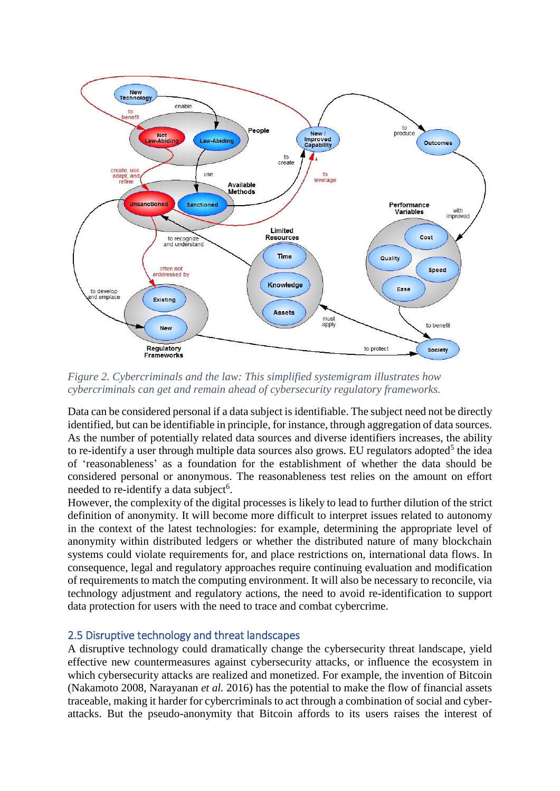

*Figure 2. Cybercriminals and the law: This simplified systemigram illustrates how cybercriminals can get and remain ahead of cybersecurity regulatory frameworks.*

Data can be considered personal if a data subject is identifiable. The subject need not be directly identified, but can be identifiable in principle, for instance, through aggregation of data sources. As the number of potentially related data sources and diverse identifiers increases, the ability to re-identify a user through multiple data sources also grows. EU regulators adopted<sup>5</sup> the idea of 'reasonableness' as a foundation for the establishment of whether the data should be considered personal or anonymous. The reasonableness test relies on the amount on effort needed to re-identify a data subject<sup>6</sup>.

However, the complexity of the digital processes is likely to lead to further dilution of the strict definition of anonymity. It will become more difficult to interpret issues related to autonomy in the context of the latest technologies: for example, determining the appropriate level of anonymity within distributed ledgers or whether the distributed nature of many blockchain systems could violate requirements for, and place restrictions on, international data flows. In consequence, legal and regulatory approaches require continuing evaluation and modification of requirements to match the computing environment. It will also be necessary to reconcile, via technology adjustment and regulatory actions, the need to avoid re-identification to support data protection for users with the need to trace and combat cybercrime.

#### 2.5 Disruptive technology and threat landscapes

A disruptive technology could dramatically change the cybersecurity threat landscape, yield effective new countermeasures against cybersecurity attacks, or influence the ecosystem in which cybersecurity attacks are realized and monetized. For example, the invention of Bitcoin (Nakamoto 2008, Narayanan *et al.* 2016) has the potential to make the flow of financial assets traceable, making it harder for cybercriminals to act through a combination of social and cyberattacks. But the pseudo-anonymity that Bitcoin affords to its users raises the interest of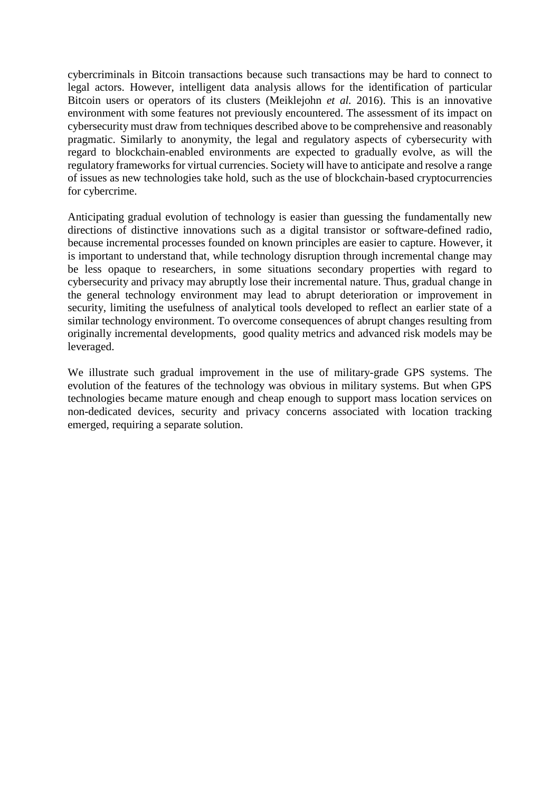cybercriminals in Bitcoin transactions because such transactions may be hard to connect to legal actors. However, intelligent data analysis allows for the identification of particular Bitcoin users or operators of its clusters (Meiklejohn *et al.* 2016). This is an innovative environment with some features not previously encountered. The assessment of its impact on cybersecurity must draw from techniques described above to be comprehensive and reasonably pragmatic. Similarly to anonymity, the legal and regulatory aspects of cybersecurity with regard to blockchain-enabled environments are expected to gradually evolve, as will the regulatory frameworks for virtual currencies. Society will have to anticipate and resolve a range of issues as new technologies take hold, such as the use of blockchain-based cryptocurrencies for cybercrime.

Anticipating gradual evolution of technology is easier than guessing the fundamentally new directions of distinctive innovations such as a digital transistor or software-defined radio, because incremental processes founded on known principles are easier to capture. However, it is important to understand that, while technology disruption through incremental change may be less opaque to researchers, in some situations secondary properties with regard to cybersecurity and privacy may abruptly lose their incremental nature. Thus, gradual change in the general technology environment may lead to abrupt deterioration or improvement in security, limiting the usefulness of analytical tools developed to reflect an earlier state of a similar technology environment. To overcome consequences of abrupt changes resulting from originally incremental developments, good quality metrics and advanced risk models may be leveraged.

We illustrate such gradual improvement in the use of military-grade GPS systems. The evolution of the features of the technology was obvious in military systems. But when GPS technologies became mature enough and cheap enough to support mass location services on non-dedicated devices, security and privacy concerns associated with location tracking emerged, requiring a separate solution.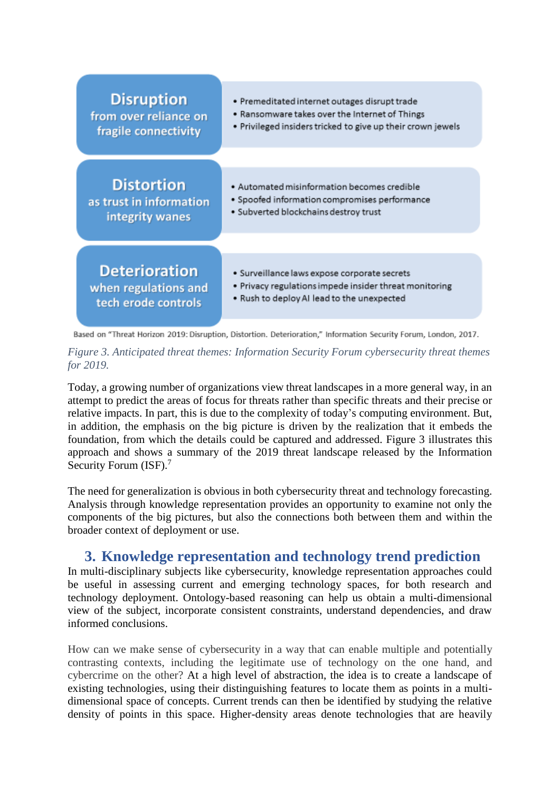

Based on "Threat Horizon 2019: Disruption, Distortion. Deterioration," Information Security Forum, London, 2017.

*Figure 3. Anticipated threat themes: Information Security Forum cybersecurity threat themes for 2019.*

Today, a growing number of organizations view threat landscapes in a more general way, in an attempt to predict the areas of focus for threats rather than specific threats and their precise or relative impacts. In part, this is due to the complexity of today's computing environment. But, in addition, the emphasis on the big picture is driven by the realization that it embeds the foundation, from which the details could be captured and addressed. Figure 3 illustrates this approach and shows a summary of the 2019 threat landscape released by the Information Security Forum (ISF).<sup>7</sup>

The need for generalization is obvious in both cybersecurity threat and technology forecasting. Analysis through knowledge representation provides an opportunity to examine not only the components of the big pictures, but also the connections both between them and within the broader context of deployment or use.

# **3. Knowledge representation and technology trend prediction**

In multi-disciplinary subjects like cybersecurity, knowledge representation approaches could be useful in assessing current and emerging technology spaces, for both research and technology deployment. Ontology-based reasoning can help us obtain a multi-dimensional view of the subject, incorporate consistent constraints, understand dependencies, and draw informed conclusions.

How can we make sense of cybersecurity in a way that can enable multiple and potentially contrasting contexts, including the legitimate use of technology on the one hand, and cybercrime on the other? At a high level of abstraction, the idea is to create a landscape of existing technologies, using their distinguishing features to locate them as points in a multidimensional space of concepts. Current trends can then be identified by studying the relative density of points in this space. Higher-density areas denote technologies that are heavily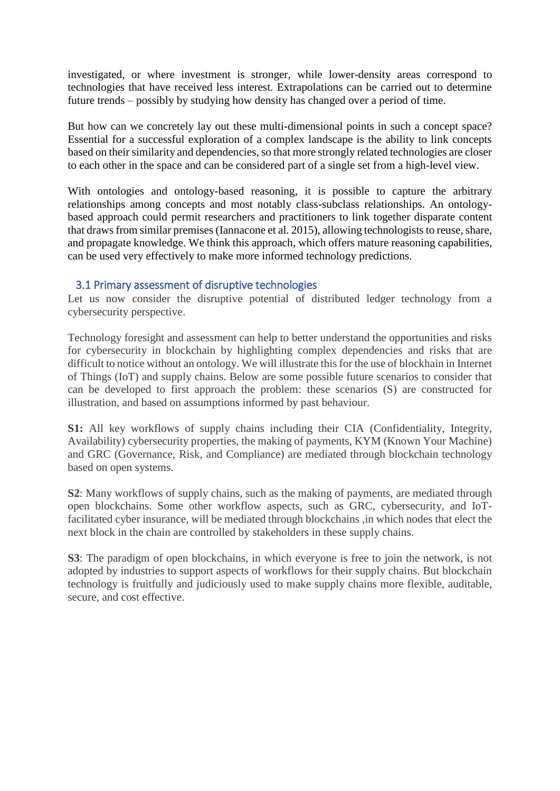investigated, or where investment is stronger, while lower-density areas correspond to technologies that have received less interest. Extrapolations can be carried out to determine future trends – possibly by studying how density has changed over a period of time.

But how can we concretely lay out these multi-dimensional points in such a concept space? Essential for a successful exploration of a complex landscape is the ability to link concepts based on their similarity and dependencies, so that more strongly related technologies are closer to each other in the space and can be considered part of a single set from a high-level view.

With ontologies and ontology-based reasoning, it is possible to capture the arbitrary relationships among concepts and most notably class-subclass relationships. An ontologybased approach could permit researchers and practitioners to link together disparate content that draws from similar premises (Iannacone et al. 2015), allowing technologists to reuse, share, and propagate knowledge. We think this approach, which offers mature reasoning capabilities, can be used very effectively to make more informed technology predictions.

#### 3.1 Primary assessment of disruptive technologies

Let us now consider the disruptive potential of distributed ledger technology from a cybersecurity perspective.

Technology foresight and assessment can help to better understand the opportunities and risks for cybersecurity in blockchain by highlighting complex dependencies and risks that are difficult to notice without an ontology. We will illustrate this for the use of blockhain in Internet of Things (IoT) and supply chains. Below are some possible future scenarios to consider that can be developed to first approach the problem: these scenarios (S) are constructed for illustration, and based on assumptions informed by past behaviour.

**S1:** All key workflows of supply chains including their CIA (Confidentiality, Integrity, Availability) cybersecurity properties, the making of payments, KYM (Known Your Machine) and GRC (Governance, Risk, and Compliance) are mediated through blockchain technology based on open systems.

**S2**: Many workflows of supply chains, such as the making of payments, are mediated through open blockchains. Some other workflow aspects, such as GRC, cybersecurity, and IoTfacilitated cyber insurance, will be mediated through blockchains ,in which nodes that elect the next block in the chain are controlled by stakeholders in these supply chains.

**S3**: The paradigm of open blockchains, in which everyone is free to join the network, is not adopted by industries to support aspects of workflows for their supply chains. But blockchain technology is fruitfully and judiciously used to make supply chains more flexible, auditable, secure, and cost effective.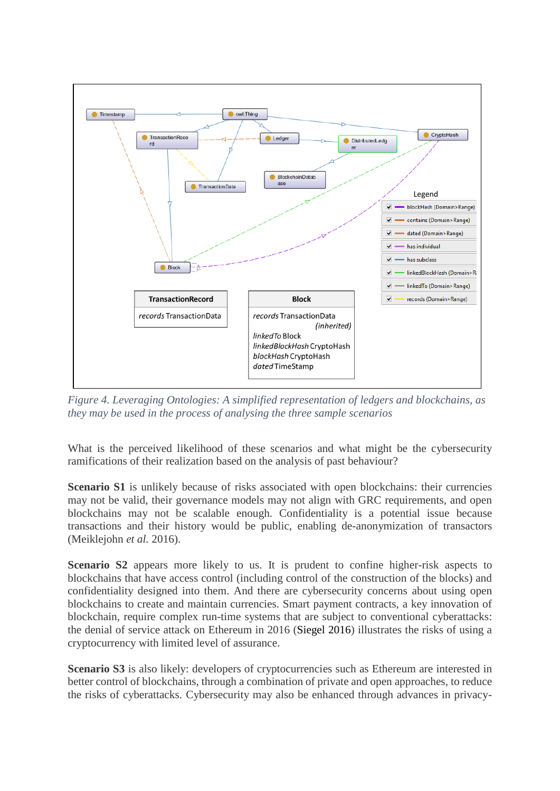

*Figure 4. Leveraging Ontologies: A simplified representation of ledgers and blockchains, as they may be used in the process of analysing the three sample scenarios*

What is the perceived likelihood of these scenarios and what might be the cybersecurity ramifications of their realization based on the analysis of past behaviour?

**Scenario S1** is unlikely because of risks associated with open blockchains: their currencies may not be valid, their governance models may not align with GRC requirements, and open blockchains may not be scalable enough. Confidentiality is a potential issue because transactions and their history would be public, enabling de-anonymization of transactors (Meiklejohn *et al.* 2016).

**Scenario S2** appears more likely to us. It is prudent to confine higher-risk aspects to blockchains that have access control (including control of the construction of the blocks) and confidentiality designed into them. And there are cybersecurity concerns about using open blockchains to create and maintain currencies. Smart payment contracts, a key innovation of blockchain, require complex run-time systems that are subject to conventional cyberattacks: the denial of service attack on Ethereum in 2016 (Siegel 2016) illustrates the risks of using a cryptocurrency with limited level of assurance.

**Scenario S3** is also likely: developers of cryptocurrencies such as Ethereum are interested in better control of blockchains, through a combination of private and open approaches, to reduce the risks of cyberattacks. Cybersecurity may also be enhanced through advances in privacy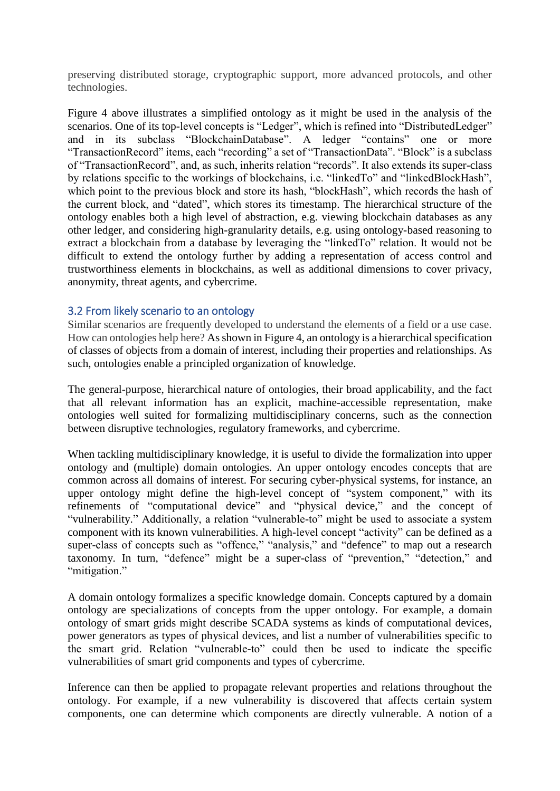preserving distributed storage, cryptographic support, more advanced protocols, and other technologies.

Figure 4 above illustrates a simplified ontology as it might be used in the analysis of the scenarios. One of its top-level concepts is "Ledger", which is refined into "DistributedLedger" and in its subclass "BlockchainDatabase". A ledger "contains" one or more "TransactionRecord" items, each "recording" a set of "TransactionData". "Block" is a subclass of "TransactionRecord", and, as such, inherits relation "records". It also extends its super-class by relations specific to the workings of blockchains, i.e. "linkedTo" and "linkedBlockHash", which point to the previous block and store its hash, "blockHash", which records the hash of the current block, and "dated", which stores its timestamp. The hierarchical structure of the ontology enables both a high level of abstraction, e.g. viewing blockchain databases as any other ledger, and considering high-granularity details, e.g. using ontology-based reasoning to extract a blockchain from a database by leveraging the "linkedTo" relation. It would not be difficult to extend the ontology further by adding a representation of access control and trustworthiness elements in blockchains, as well as additional dimensions to cover privacy, anonymity, threat agents, and cybercrime.

#### 3.2 From likely scenario to an ontology

Similar scenarios are frequently developed to understand the elements of a field or a use case. How can ontologies help here? As shown in Figure 4, an ontology is a hierarchical specification of classes of objects from a domain of interest, including their properties and relationships. As such, ontologies enable a principled organization of knowledge.

The general-purpose, hierarchical nature of ontologies, their broad applicability, and the fact that all relevant information has an explicit, machine-accessible representation, make ontologies well suited for formalizing multidisciplinary concerns, such as the connection between disruptive technologies, regulatory frameworks, and cybercrime.

When tackling multidisciplinary knowledge, it is useful to divide the formalization into upper ontology and (multiple) domain ontologies. An upper ontology encodes concepts that are common across all domains of interest. For securing cyber-physical systems, for instance, an upper ontology might define the high-level concept of "system component," with its refinements of "computational device" and "physical device," and the concept of "vulnerability." Additionally, a relation "vulnerable-to" might be used to associate a system component with its known vulnerabilities. A high-level concept "activity" can be defined as a super-class of concepts such as "offence," "analysis," and "defence" to map out a research taxonomy. In turn, "defence" might be a super-class of "prevention," "detection," and "mitigation."

A domain ontology formalizes a specific knowledge domain. Concepts captured by a domain ontology are specializations of concepts from the upper ontology. For example, a domain ontology of smart grids might describe SCADA systems as kinds of computational devices, power generators as types of physical devices, and list a number of vulnerabilities specific to the smart grid. Relation "vulnerable-to" could then be used to indicate the specific vulnerabilities of smart grid components and types of cybercrime.

Inference can then be applied to propagate relevant properties and relations throughout the ontology. For example, if a new vulnerability is discovered that affects certain system components, one can determine which components are directly vulnerable. A notion of a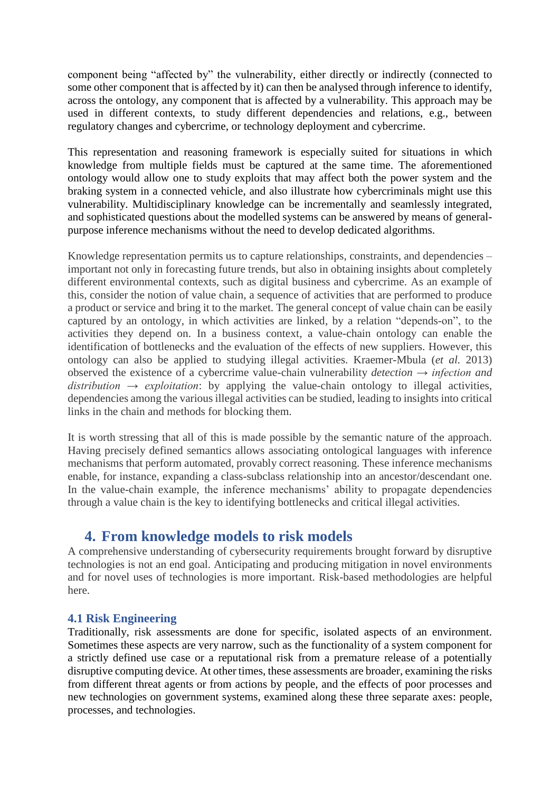component being "affected by" the vulnerability, either directly or indirectly (connected to some other component that is affected by it) can then be analysed through inference to identify, across the ontology, any component that is affected by a vulnerability. This approach may be used in different contexts, to study different dependencies and relations, e.g., between regulatory changes and cybercrime, or technology deployment and cybercrime.

This representation and reasoning framework is especially suited for situations in which knowledge from multiple fields must be captured at the same time. The aforementioned ontology would allow one to study exploits that may affect both the power system and the braking system in a connected vehicle, and also illustrate how cybercriminals might use this vulnerability. Multidisciplinary knowledge can be incrementally and seamlessly integrated, and sophisticated questions about the modelled systems can be answered by means of generalpurpose inference mechanisms without the need to develop dedicated algorithms.

Knowledge representation permits us to capture relationships, constraints, and dependencies – important not only in forecasting future trends, but also in obtaining insights about completely different environmental contexts, such as digital business and cybercrime. As an example of this, consider the notion of value chain, a sequence of activities that are performed to produce a product or service and bring it to the market. The general concept of value chain can be easily captured by an ontology, in which activities are linked, by a relation "depends-on", to the activities they depend on. In a business context, a value-chain ontology can enable the identification of bottlenecks and the evaluation of the effects of new suppliers. However, this ontology can also be applied to studying illegal activities. Kraemer-Mbula (*et al.* 2013) observed the existence of a cybercrime value-chain vulnerability *detection → infection and*   $distribution \rightarrow exploitation$ : by applying the value-chain ontology to illegal activities, dependencies among the various illegal activities can be studied, leading to insights into critical links in the chain and methods for blocking them.

It is worth stressing that all of this is made possible by the semantic nature of the approach. Having precisely defined semantics allows associating ontological languages with inference mechanisms that perform automated, provably correct reasoning. These inference mechanisms enable, for instance, expanding a class-subclass relationship into an ancestor/descendant one. In the value-chain example, the inference mechanisms' ability to propagate dependencies through a value chain is the key to identifying bottlenecks and critical illegal activities.

# **4. From knowledge models to risk models**

A comprehensive understanding of cybersecurity requirements brought forward by disruptive technologies is not an end goal. Anticipating and producing mitigation in novel environments and for novel uses of technologies is more important. Risk-based methodologies are helpful here.

## **4.1 Risk Engineering**

Traditionally, risk assessments are done for specific, isolated aspects of an environment. Sometimes these aspects are very narrow, such as the functionality of a system component for a strictly defined use case or a reputational risk from a premature release of a potentially disruptive computing device. At other times, these assessments are broader, examining the risks from different threat agents or from actions by people, and the effects of poor processes and new technologies on government systems, examined along these three separate axes: people, processes, and technologies.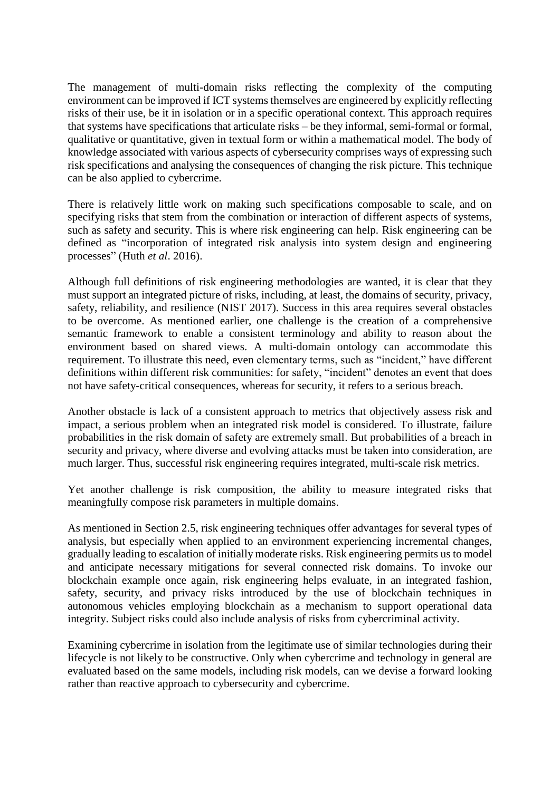The management of multi-domain risks reflecting the complexity of the computing environment can be improved if ICT systems themselves are engineered by explicitly reflecting risks of their use, be it in isolation or in a specific operational context. This approach requires that systems have specifications that articulate risks – be they informal, semi-formal or formal, qualitative or quantitative, given in textual form or within a mathematical model. The body of knowledge associated with various aspects of cybersecurity comprises ways of expressing such risk specifications and analysing the consequences of changing the risk picture. This technique can be also applied to cybercrime.

There is relatively little work on making such specifications composable to scale, and on specifying risks that stem from the combination or interaction of different aspects of systems, such as safety and security. This is where risk engineering can help. Risk engineering can be defined as "incorporation of integrated risk analysis into system design and engineering processes" (Huth *et al*. 2016).

Although full definitions of risk engineering methodologies are wanted, it is clear that they must support an integrated picture of risks, including, at least, the domains of security, privacy, safety, reliability, and resilience (NIST 2017). Success in this area requires several obstacles to be overcome. As mentioned earlier, one challenge is the creation of a comprehensive semantic framework to enable a consistent terminology and ability to reason about the environment based on shared views. A multi-domain ontology can accommodate this requirement. To illustrate this need, even elementary terms, such as "incident," have different definitions within different risk communities: for safety, "incident" denotes an event that does not have safety-critical consequences, whereas for security, it refers to a serious breach.

Another obstacle is lack of a consistent approach to metrics that objectively assess risk and impact, a serious problem when an integrated risk model is considered. To illustrate, failure probabilities in the risk domain of safety are extremely small. But probabilities of a breach in security and privacy, where diverse and evolving attacks must be taken into consideration, are much larger. Thus, successful risk engineering requires integrated, multi-scale risk metrics.

Yet another challenge is risk composition, the ability to measure integrated risks that meaningfully compose risk parameters in multiple domains.

As mentioned in Section 2.5, risk engineering techniques offer advantages for several types of analysis, but especially when applied to an environment experiencing incremental changes, gradually leading to escalation of initially moderate risks. Risk engineering permits us to model and anticipate necessary mitigations for several connected risk domains. To invoke our blockchain example once again, risk engineering helps evaluate, in an integrated fashion, safety, security, and privacy risks introduced by the use of blockchain techniques in autonomous vehicles employing blockchain as a mechanism to support operational data integrity. Subject risks could also include analysis of risks from cybercriminal activity.

Examining cybercrime in isolation from the legitimate use of similar technologies during their lifecycle is not likely to be constructive. Only when cybercrime and technology in general are evaluated based on the same models, including risk models, can we devise a forward looking rather than reactive approach to cybersecurity and cybercrime.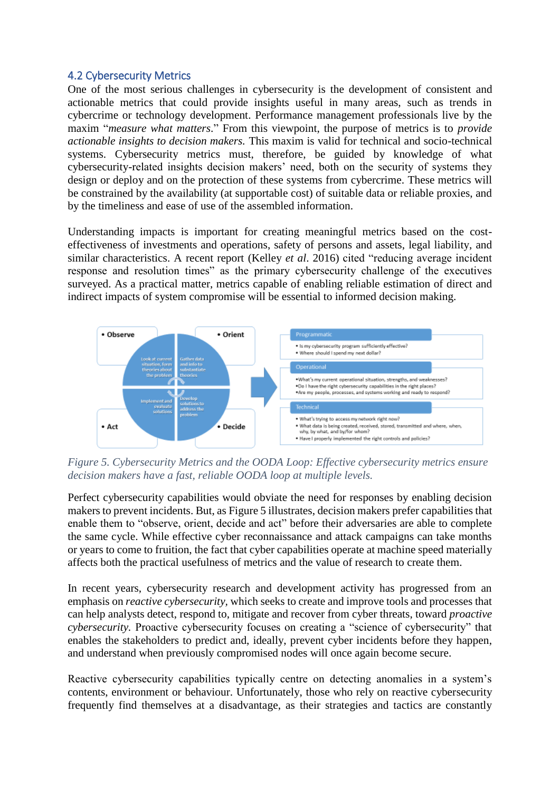#### 4.2 Cybersecurity Metrics

One of the most serious challenges in cybersecurity is the development of consistent and actionable metrics that could provide insights useful in many areas, such as trends in cybercrime or technology development. Performance management professionals live by the maxim "*measure what matters*." From this viewpoint, the purpose of metrics is to *provide actionable insights to decision makers.* This maxim is valid for technical and socio-technical systems. Cybersecurity metrics must, therefore, be guided by knowledge of what cybersecurity-related insights decision makers' need, both on the security of systems they design or deploy and on the protection of these systems from cybercrime. These metrics will be constrained by the availability (at supportable cost) of suitable data or reliable proxies, and by the timeliness and ease of use of the assembled information.

Understanding impacts is important for creating meaningful metrics based on the costeffectiveness of investments and operations, safety of persons and assets, legal liability, and similar characteristics. A recent report (Kelley *et al*. 2016) cited "reducing average incident response and resolution times" as the primary cybersecurity challenge of the executives surveyed. As a practical matter, metrics capable of enabling reliable estimation of direct and indirect impacts of system compromise will be essential to informed decision making.



*Figure 5. Cybersecurity Metrics and the OODA Loop: Effective cybersecurity metrics ensure decision makers have a fast, reliable OODA loop at multiple levels.*

Perfect cybersecurity capabilities would obviate the need for responses by enabling decision makers to prevent incidents. But, as Figure 5 illustrates, decision makers prefer capabilities that enable them to "observe, orient, decide and act" before their adversaries are able to complete the same cycle. While effective cyber reconnaissance and attack campaigns can take months or years to come to fruition, the fact that cyber capabilities operate at machine speed materially affects both the practical usefulness of metrics and the value of research to create them.

In recent years, cybersecurity research and development activity has progressed from an emphasis on *reactive cybersecurity,* which seeks to create and improve tools and processes that can help analysts detect, respond to, mitigate and recover from cyber threats, toward *proactive cybersecurity.* Proactive cybersecurity focuses on creating a "science of cybersecurity" that enables the stakeholders to predict and, ideally, prevent cyber incidents before they happen, and understand when previously compromised nodes will once again become secure.

Reactive cybersecurity capabilities typically centre on detecting anomalies in a system's contents, environment or behaviour. Unfortunately, those who rely on reactive cybersecurity frequently find themselves at a disadvantage, as their strategies and tactics are constantly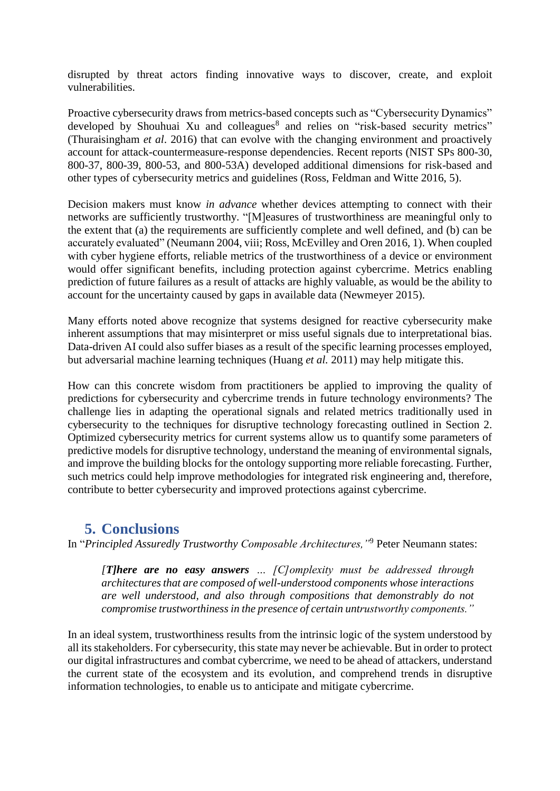disrupted by threat actors finding innovative ways to discover, create, and exploit vulnerabilities.

Proactive cybersecurity draws from metrics-based concepts such as "Cybersecurity Dynamics" developed by Shouhuai Xu and colleagues<sup>8</sup> and relies on "risk-based security metrics" (Thuraisingham *et al*. 2016) that can evolve with the changing environment and proactively account for attack-countermeasure-response dependencies. Recent reports (NIST SPs 800-30, 800-37, 800-39, 800-53, and 800-53A) developed additional dimensions for risk-based and other types of cybersecurity metrics and guidelines (Ross, Feldman and Witte 2016, 5).

Decision makers must know *in advance* whether devices attempting to connect with their networks are sufficiently trustworthy. "[M]easures of trustworthiness are meaningful only to the extent that (a) the requirements are sufficiently complete and well defined, and (b) can be accurately evaluated" (Neumann 2004, viii; Ross, McEvilley and Oren 2016, 1). When coupled with cyber hygiene efforts, reliable metrics of the trustworthiness of a device or environment would offer significant benefits, including protection against cybercrime. Metrics enabling prediction of future failures as a result of attacks are highly valuable, as would be the ability to account for the uncertainty caused by gaps in available data (Newmeyer 2015).

Many efforts noted above recognize that systems designed for reactive cybersecurity make inherent assumptions that may misinterpret or miss useful signals due to interpretational bias. Data-driven AI could also suffer biases as a result of the specific learning processes employed, but adversarial machine learning techniques (Huang *et al.* 2011) may help mitigate this.

How can this concrete wisdom from practitioners be applied to improving the quality of predictions for cybersecurity and cybercrime trends in future technology environments? The challenge lies in adapting the operational signals and related metrics traditionally used in cybersecurity to the techniques for disruptive technology forecasting outlined in Section 2. Optimized cybersecurity metrics for current systems allow us to quantify some parameters of predictive models for disruptive technology, understand the meaning of environmental signals, and improve the building blocks for the ontology supporting more reliable forecasting. Further, such metrics could help improve methodologies for integrated risk engineering and, therefore, contribute to better cybersecurity and improved protections against cybercrime.

## **5. Conclusions**

In "*Principled Assuredly Trustworthy Composable Architectures,"*<sup>9</sup> Peter Neumann states:

*[T]here are no easy answers … [C]omplexity must be addressed through architectures that are composed of well-understood components whose interactions are well understood, and also through compositions that demonstrably do not compromise trustworthiness in the presence of certain untrustworthy components."*

In an ideal system, trustworthiness results from the intrinsic logic of the system understood by all itsstakeholders. For cybersecurity, this state may never be achievable. But in order to protect our digital infrastructures and combat cybercrime, we need to be ahead of attackers, understand the current state of the ecosystem and its evolution, and comprehend trends in disruptive information technologies, to enable us to anticipate and mitigate cybercrime.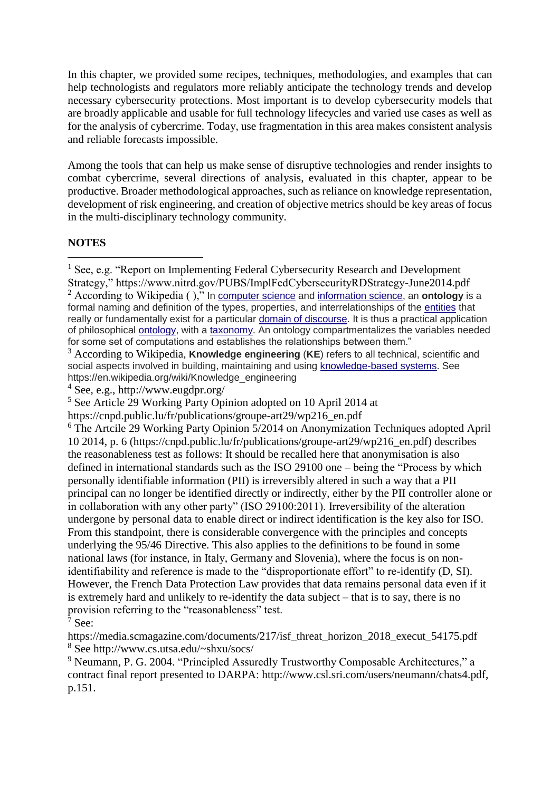In this chapter, we provided some recipes, techniques, methodologies, and examples that can help technologists and regulators more reliably anticipate the technology trends and develop necessary cybersecurity protections. Most important is to develop cybersecurity models that are broadly applicable and usable for full technology lifecycles and varied use cases as well as for the analysis of cybercrime. Today, use fragmentation in this area makes consistent analysis and reliable forecasts impossible.

Among the tools that can help us make sense of disruptive technologies and render insights to combat cybercrime, several directions of analysis, evaluated in this chapter, appear to be productive. Broader methodological approaches, such as reliance on knowledge representation, development of risk engineering, and creation of objective metrics should be key areas of focus in the multi-disciplinary technology community.

#### **NOTES**

-

<sup>5</sup> See Article 29 Working Party Opinion adopted on 10 April 2014 at

https://cnpd.public.lu/fr/publications/groupe-art29/wp216\_en.pdf

<sup>&</sup>lt;sup>1</sup> See, e.g. "Report on Implementing Federal Cybersecurity Research and Development Strategy," https://www.nitrd.gov/PUBS/ImplFedCybersecurityRDStrategy-June2014.pdf

<sup>2</sup> According to Wikipedia ( )," In [computer science](https://en.wikipedia.org/wiki/Computer_science) and [information science,](https://en.wikipedia.org/wiki/Information_science) an **ontology** is a formal naming and definition of the types, properties, and interrelationships of the [entities](https://en.wikipedia.org/wiki/Entities) that really or fundamentally exist for a particular [domain of discourse.](https://en.wikipedia.org/wiki/Domain_of_discourse) It is thus a practical application of philosophical [ontology,](https://en.wikipedia.org/wiki/Ontology) with a [taxonomy.](https://en.wikipedia.org/wiki/Taxonomy_(general)) An ontology compartmentalizes the variables needed for some set of computations and establishes the relationships between them."

<sup>3</sup> According to Wikipedia, **Knowledge engineering** (**KE**) refers to all technical, scientific and social aspects involved in building, maintaining and using [knowledge-based systems.](https://en.wikipedia.org/wiki/Knowledge-based_systems) See https://en.wikipedia.org/wiki/Knowledge\_engineering

<sup>4</sup> See, e.g., http://www.eugdpr.org/

<sup>6</sup> The Artcile 29 Working Party Opinion 5/2014 on Anonymization Techniques adopted April 10 2014, p. 6 (https://cnpd.public.lu/fr/publications/groupe-art29/wp216\_en.pdf) describes the reasonableness test as follows: It should be recalled here that anonymisation is also defined in international standards such as the ISO 29100 one – being the "Process by which personally identifiable information (PII) is irreversibly altered in such a way that a PII principal can no longer be identified directly or indirectly, either by the PII controller alone or in collaboration with any other party" (ISO 29100:2011). Irreversibility of the alteration undergone by personal data to enable direct or indirect identification is the key also for ISO. From this standpoint, there is considerable convergence with the principles and concepts underlying the 95/46 Directive. This also applies to the definitions to be found in some national laws (for instance, in Italy, Germany and Slovenia), where the focus is on nonidentifiability and reference is made to the "disproportionate effort" to re-identify (D, SI). However, the French Data Protection Law provides that data remains personal data even if it is extremely hard and unlikely to re-identify the data subject – that is to say, there is no provision referring to the "reasonableness" test.

 $\bar{7}$  See:

https://media.scmagazine.com/documents/217/isf\_threat\_horizon\_2018\_execut\_54175.pdf <sup>8</sup> See http://www.cs.utsa.edu/~shxu/socs/

<sup>9</sup> Neumann, P. G. 2004. "Principled Assuredly Trustworthy Composable Architectures," a contract final report presented to DARPA: http://www.csl.sri.com/users/neumann/chats4.pdf, p.151.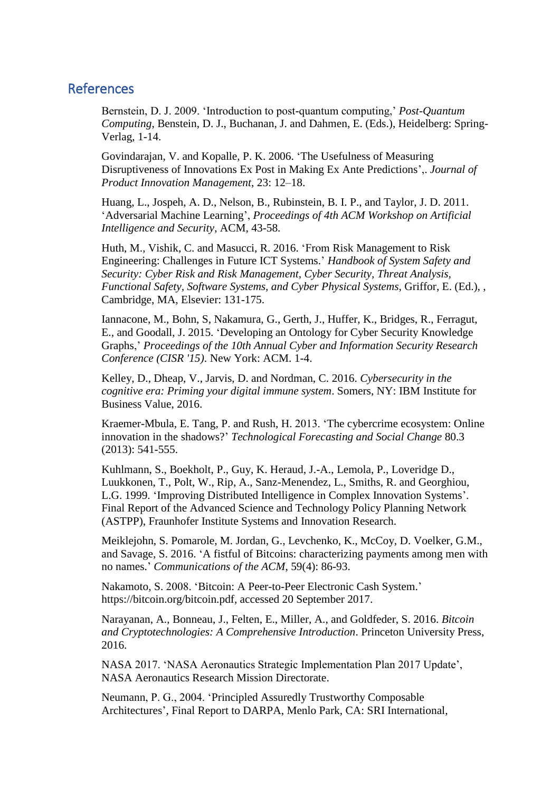## **References**

Bernstein, D. J. 2009. 'Introduction to post-quantum computing,' *Post-Quantum Computing*, Benstein, D. J., Buchanan, J. and Dahmen, E. (Eds.), Heidelberg: Spring-Verlag, 1-14.

Govindarajan, V. and Kopalle, P. K. 2006. 'The Usefulness of Measuring Disruptiveness of Innovations Ex Post in Making Ex Ante Predictions',. *Journal of Product Innovation Management*, 23: 12–18.

Huang, L., Jospeh, A. D., Nelson, B., Rubinstein, B. I. P., and Taylor, J. D. 2011. 'Adversarial Machine Learning', *Proceedings of 4th ACM Workshop on Artificial Intelligence and Security*, ACM, 43-58.

Huth, M., Vishik, C. and Masucci, R. 2016. 'From Risk Management to Risk Engineering: Challenges in Future ICT Systems.' *Handbook of System Safety and Security: Cyber Risk and Risk Management, Cyber Security, Threat Analysis, Functional Safety, Software Systems, and Cyber Physical Systems,* Griffor, E. (Ed.), , Cambridge, MA, Elsevier: 131-175.

Iannacone, M., Bohn, S, Nakamura, G., Gerth, J., Huffer, K., Bridges, R., Ferragut, E., and Goodall, J. 2015. 'Developing an Ontology for Cyber Security Knowledge Graphs,' *Proceedings of the 10th Annual Cyber and Information Security Research Conference (CISR '15)*. New York: ACM. 1-4.

Kelley, D., Dheap, V., Jarvis, D. and Nordman, C. 2016. *Cybersecurity in the cognitive era: Priming your digital immune system*. Somers, NY: IBM Institute for Business Value, 2016.

Kraemer-Mbula, E. Tang, P. and Rush, H. 2013. 'The cybercrime ecosystem: Online innovation in the shadows?' *Technological Forecasting and Social Change* 80.3 (2013): 541-555.

Kuhlmann, S., Boekholt, P., Guy, K. Heraud, J.-A., Lemola, P., Loveridge D., Luukkonen, T., Polt, W., Rip, A., Sanz-Menendez, L., Smiths, R. and Georghiou, L.G. 1999. 'Improving Distributed Intelligence in Complex Innovation Systems'. Final Report of the Advanced Science and Technology Policy Planning Network (ASTPP), Fraunhofer Institute Systems and Innovation Research.

Meiklejohn, S. Pomarole, M. Jordan, G., Levchenko, K., McCoy, D. Voelker, G.M., and Savage, S. 2016. 'A fistful of Bitcoins: characterizing payments among men with no names.' *Communications of the ACM*, 59(4): 86-93.

Nakamoto, S. 2008. 'Bitcoin: A Peer-to-Peer Electronic Cash System.' https://bitcoin.org/bitcoin.pdf, accessed 20 September 2017.

Narayanan, A., Bonneau, J., Felten, E., Miller, A., and Goldfeder, S. 2016. *Bitcoin and Cryptotechnologies: A Comprehensive Introduction*. Princeton University Press, 2016.

NASA 2017. 'NASA Aeronautics Strategic Implementation Plan 2017 Update', NASA Aeronautics Research Mission Directorate.

Neumann, P. G., 2004. 'Principled Assuredly Trustworthy Composable Architectures', Final Report to DARPA, Menlo Park, CA: SRI International,